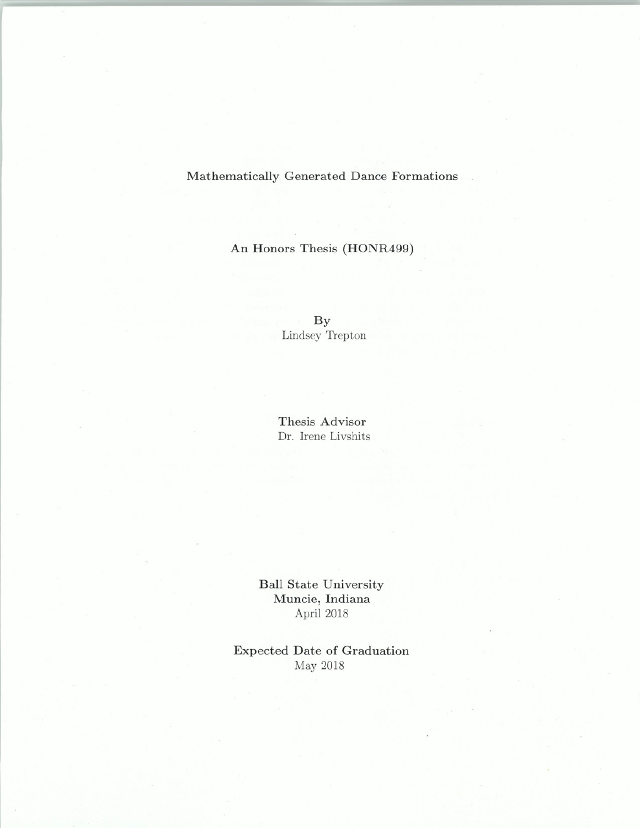Mathematically Generated Dance Formations

An Honors Thesis (HONR499)

By Lindsey Trepton

Thesis Advisor Dr. Irene Livshits

Ball State University Muncie, Indiana April 2018

Expected Date of Graduation May 2018